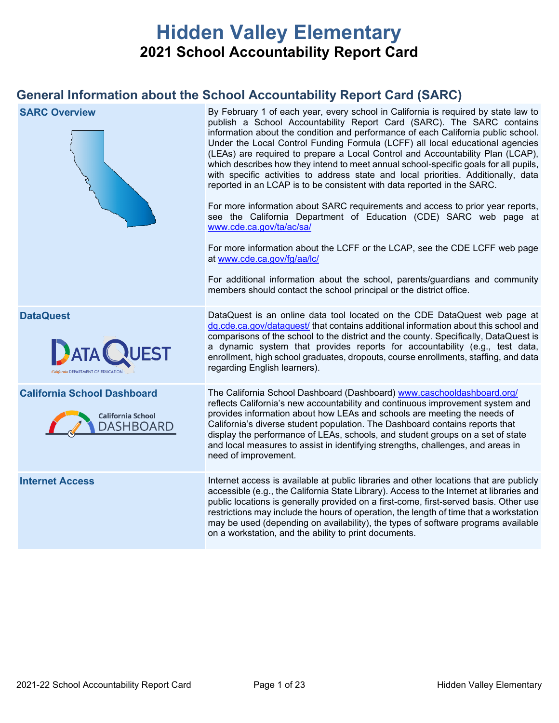# **Hidden Valley Elementary 2021 School Accountability Report Card**

# **General Information about the School Accountability Report Card (SARC)**

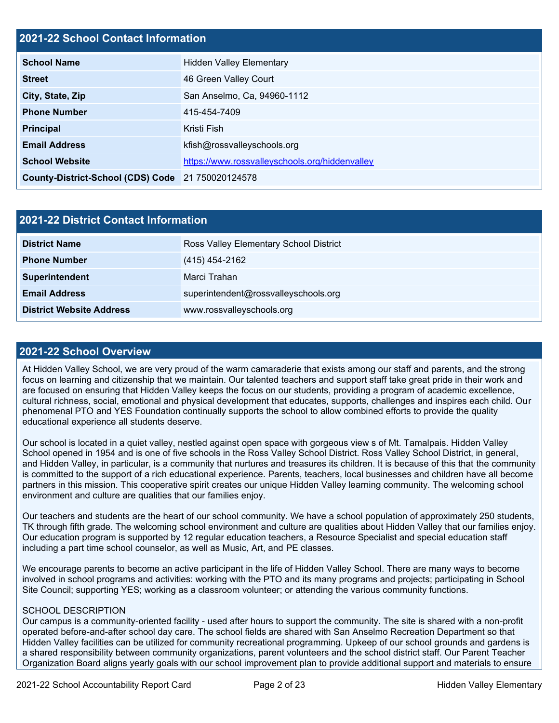# **2021-22 School Contact Information**

| <b>School Name</b>                                | <b>Hidden Valley Elementary</b>                |  |  |  |
|---------------------------------------------------|------------------------------------------------|--|--|--|
| <b>Street</b>                                     | 46 Green Valley Court                          |  |  |  |
| City, State, Zip                                  | San Anselmo, Ca, 94960-1112                    |  |  |  |
| <b>Phone Number</b>                               | 415-454-7409                                   |  |  |  |
| <b>Principal</b>                                  | Kristi Fish                                    |  |  |  |
| <b>Email Address</b>                              | kfish@rossvalleyschools.org                    |  |  |  |
| <b>School Website</b>                             | https://www.rossvalleyschools.org/hiddenvalley |  |  |  |
| County-District-School (CDS) Code 21 750020124578 |                                                |  |  |  |

| 2021-22 District Contact Information |                                        |  |  |  |
|--------------------------------------|----------------------------------------|--|--|--|
| <b>District Name</b>                 | Ross Valley Elementary School District |  |  |  |
| <b>Phone Number</b>                  | (415) 454-2162                         |  |  |  |
| Superintendent                       | Marci Trahan                           |  |  |  |
| <b>Email Address</b>                 | superintendent@rossvalleyschools.org   |  |  |  |
| <b>District Website Address</b>      | www.rossvalleyschools.org              |  |  |  |

### **2021-22 School Overview**

At Hidden Valley School, we are very proud of the warm camaraderie that exists among our staff and parents, and the strong focus on learning and citizenship that we maintain. Our talented teachers and support staff take great pride in their work and are focused on ensuring that Hidden Valley keeps the focus on our students, providing a program of academic excellence, cultural richness, social, emotional and physical development that educates, supports, challenges and inspires each child. Our phenomenal PTO and YES Foundation continually supports the school to allow combined efforts to provide the quality educational experience all students deserve.

Our school is located in a quiet valley, nestled against open space with gorgeous view s of Mt. Tamalpais. Hidden Valley School opened in 1954 and is one of five schools in the Ross Valley School District. Ross Valley School District, in general, and Hidden Valley, in particular, is a community that nurtures and treasures its children. It is because of this that the community is committed to the support of a rich educational experience. Parents, teachers, local businesses and children have all become partners in this mission. This cooperative spirit creates our unique Hidden Valley learning community. The welcoming school environment and culture are qualities that our families enjoy.

Our teachers and students are the heart of our school community. We have a school population of approximately 250 students, TK through fifth grade. The welcoming school environment and culture are qualities about Hidden Valley that our families enjoy. Our education program is supported by 12 regular education teachers, a Resource Specialist and special education staff including a part time school counselor, as well as Music, Art, and PE classes.

We encourage parents to become an active participant in the life of Hidden Valley School. There are many ways to become involved in school programs and activities: working with the PTO and its many programs and projects; participating in School Site Council; supporting YES; working as a classroom volunteer; or attending the various community functions.

### SCHOOL DESCRIPTION

Our campus is a community-oriented facility - used after hours to support the community. The site is shared with a non-profit operated before-and-after school day care. The school fields are shared with San Anselmo Recreation Department so that Hidden Valley facilities can be utilized for community recreational programming. Upkeep of our school grounds and gardens is a shared responsibility between community organizations, parent volunteers and the school district staff. Our Parent Teacher Organization Board aligns yearly goals with our school improvement plan to provide additional support and materials to ensure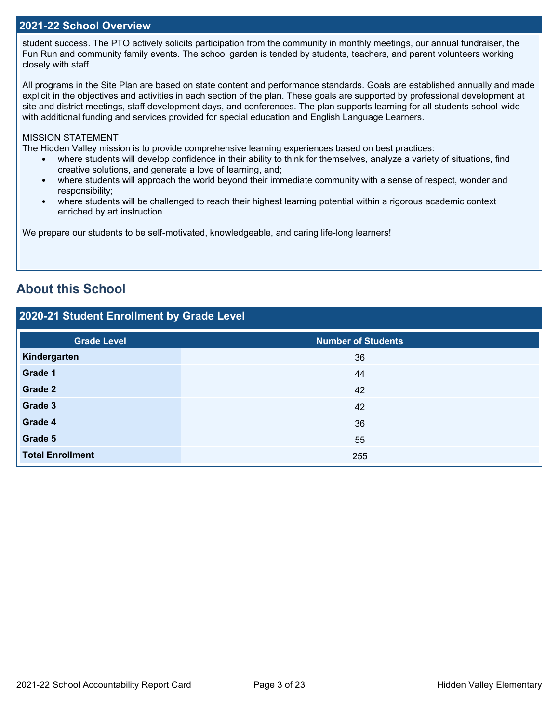## **2021-22 School Overview**

student success. The PTO actively solicits participation from the community in monthly meetings, our annual fundraiser, the Fun Run and community family events. The school garden is tended by students, teachers, and parent volunteers working closely with staff.

All programs in the Site Plan are based on state content and performance standards. Goals are established annually and made explicit in the objectives and activities in each section of the plan. These goals are supported by professional development at site and district meetings, staff development days, and conferences. The plan supports learning for all students school-wide with additional funding and services provided for special education and English Language Learners.

### MISSION STATEMENT

The Hidden Valley mission is to provide comprehensive learning experiences based on best practices:

- where students will develop confidence in their ability to think for themselves, analyze a variety of situations, find creative solutions, and generate a love of learning, and;
- where students will approach the world beyond their immediate community with a sense of respect, wonder and responsibility;
- where students will be challenged to reach their highest learning potential within a rigorous academic context enriched by art instruction.

We prepare our students to be self-motivated, knowledgeable, and caring life-long learners!

# **About this School**

# **2020-21 Student Enrollment by Grade Level**

| <b>Grade Level</b>      | <b>Number of Students</b> |
|-------------------------|---------------------------|
| Kindergarten            | 36                        |
| Grade 1                 | 44                        |
| Grade 2                 | 42                        |
| Grade 3                 | 42                        |
| Grade 4                 | 36                        |
| Grade 5                 | 55                        |
| <b>Total Enrollment</b> | 255                       |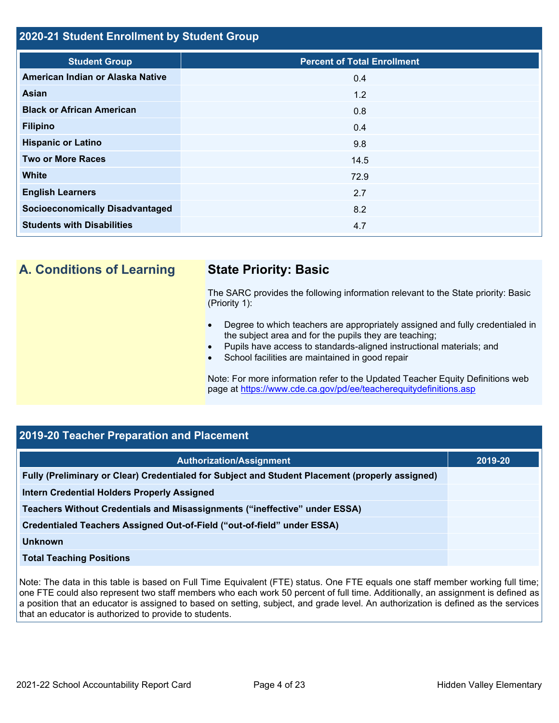# **2020-21 Student Enrollment by Student Group**

| <b>Student Group</b>                   | <b>Percent of Total Enrollment</b> |
|----------------------------------------|------------------------------------|
| American Indian or Alaska Native       | 0.4                                |
| Asian                                  | 1.2                                |
| <b>Black or African American</b>       | 0.8                                |
| <b>Filipino</b>                        | 0.4                                |
| <b>Hispanic or Latino</b>              | 9.8                                |
| <b>Two or More Races</b>               | 14.5                               |
| <b>White</b>                           | 72.9                               |
| <b>English Learners</b>                | 2.7                                |
| <b>Socioeconomically Disadvantaged</b> | 8.2                                |
| <b>Students with Disabilities</b>      | 4.7                                |

# **A. Conditions of Learning State Priority: Basic**

The SARC provides the following information relevant to the State priority: Basic (Priority 1):

- Degree to which teachers are appropriately assigned and fully credentialed in the subject area and for the pupils they are teaching;
- Pupils have access to standards-aligned instructional materials; and
- School facilities are maintained in good repair

Note: For more information refer to the Updated Teacher Equity Definitions web page at<https://www.cde.ca.gov/pd/ee/teacherequitydefinitions.asp>

# **2019-20 Teacher Preparation and Placement**

| <b>Authorization/Assignment</b>                                                                 | 2019-20 |
|-------------------------------------------------------------------------------------------------|---------|
| Fully (Preliminary or Clear) Credentialed for Subject and Student Placement (properly assigned) |         |
| Intern Credential Holders Properly Assigned                                                     |         |
| Teachers Without Credentials and Misassignments ("ineffective" under ESSA)                      |         |
| Credentialed Teachers Assigned Out-of-Field ("out-of-field" under ESSA)                         |         |
| Unknown                                                                                         |         |
| <b>Total Teaching Positions</b>                                                                 |         |

Note: The data in this table is based on Full Time Equivalent (FTE) status. One FTE equals one staff member working full time; one FTE could also represent two staff members who each work 50 percent of full time. Additionally, an assignment is defined as a position that an educator is assigned to based on setting, subject, and grade level. An authorization is defined as the services that an educator is authorized to provide to students.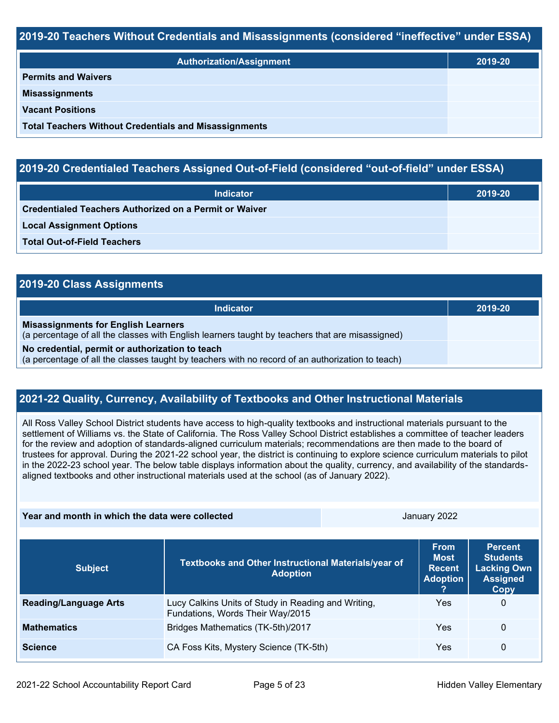## **2019-20 Teachers Without Credentials and Misassignments (considered "ineffective" under ESSA)**

| <b>Authorization/Assignment</b>                              | 2019-20 |  |
|--------------------------------------------------------------|---------|--|
| <b>Permits and Waivers</b>                                   |         |  |
| <b>Misassignments</b>                                        |         |  |
| <b>Vacant Positions</b>                                      |         |  |
| <b>Total Teachers Without Credentials and Misassignments</b> |         |  |

# **2019-20 Credentialed Teachers Assigned Out-of-Field (considered "out-of-field" under ESSA)**

| <b>Indicator</b>                                       | 2019-20 |  |
|--------------------------------------------------------|---------|--|
| Credentialed Teachers Authorized on a Permit or Waiver |         |  |
| <b>Local Assignment Options</b>                        |         |  |
| <b>Total Out-of-Field Teachers</b>                     |         |  |

| 2019-20 Class Assignments                                                                                                                           |         |  |
|-----------------------------------------------------------------------------------------------------------------------------------------------------|---------|--|
| Indicator                                                                                                                                           | 2019-20 |  |
| <b>Misassignments for English Learners</b><br>(a percentage of all the classes with English learners taught by teachers that are misassigned)       |         |  |
| No credential, permit or authorization to teach<br>(a percentage of all the classes taught by teachers with no record of an authorization to teach) |         |  |

# **2021-22 Quality, Currency, Availability of Textbooks and Other Instructional Materials**

All Ross Valley School District students have access to high-quality textbooks and instructional materials pursuant to the settlement of Williams vs. the State of California. The Ross Valley School District establishes a committee of teacher leaders for the review and adoption of standards-aligned curriculum materials; recommendations are then made to the board of trustees for approval. During the 2021-22 school year, the district is continuing to explore science curriculum materials to pilot in the 2022-23 school year. The below table displays information about the quality, currency, and availability of the standardsaligned textbooks and other instructional materials used at the school (as of January 2022).

#### **Year and month in which the data were collected Server Server Server Server Server Server Server Server Server Server Server Server Server Server Server Server Server Server Server Server Server Server Server Server Serve**

| <b>Subject</b>               | Textbooks and Other Instructional Materials/year of<br><b>Adoption</b>                  | <b>From</b><br><b>Most</b><br><b>Recent</b><br><b>Adoption</b> | <b>Percent</b><br><b>Students</b><br><b>Lacking Own</b><br><b>Assigned</b><br>Copy |
|------------------------------|-----------------------------------------------------------------------------------------|----------------------------------------------------------------|------------------------------------------------------------------------------------|
| <b>Reading/Language Arts</b> | Lucy Calkins Units of Study in Reading and Writing,<br>Fundations, Words Their Way/2015 | Yes                                                            | 0                                                                                  |
| <b>Mathematics</b>           | Bridges Mathematics (TK-5th)/2017                                                       | Yes                                                            | 0                                                                                  |
| <b>Science</b>               | CA Foss Kits, Mystery Science (TK-5th)                                                  | Yes                                                            | 0                                                                                  |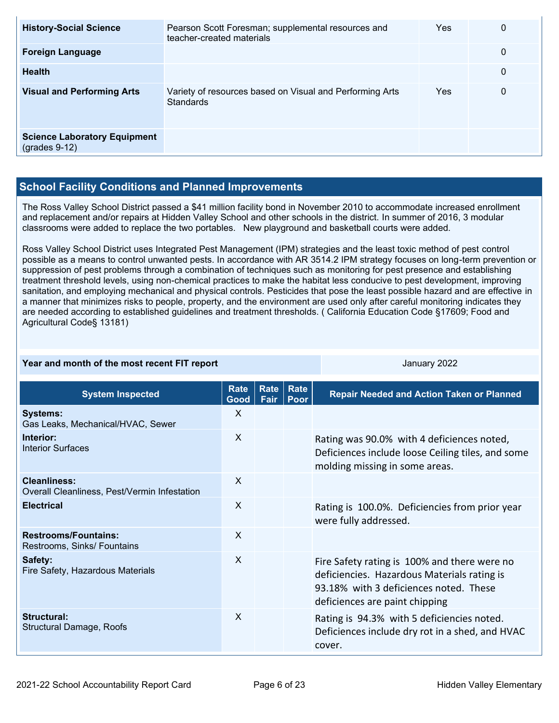| <b>History-Social Science</b>                          | Pearson Scott Foresman; supplemental resources and<br>teacher-created materials | Yes | 0 |
|--------------------------------------------------------|---------------------------------------------------------------------------------|-----|---|
| <b>Foreign Language</b>                                |                                                                                 |     | 0 |
| <b>Health</b>                                          |                                                                                 |     | 0 |
| <b>Visual and Performing Arts</b>                      | Variety of resources based on Visual and Performing Arts<br>Standards           | Yes | 0 |
| <b>Science Laboratory Equipment</b><br>$(grades 9-12)$ |                                                                                 |     |   |

# **School Facility Conditions and Planned Improvements**

The Ross Valley School District passed a \$41 million facility bond in November 2010 to accommodate increased enrollment and replacement and/or repairs at Hidden Valley School and other schools in the district. In summer of 2016, 3 modular classrooms were added to replace the two portables. New playground and basketball courts were added.

Ross Valley School District uses Integrated Pest Management (IPM) strategies and the least toxic method of pest control possible as a means to control unwanted pests. In accordance with AR 3514.2 IPM strategy focuses on long-term prevention or suppression of pest problems through a combination of techniques such as monitoring for pest presence and establishing treatment threshold levels, using non-chemical practices to make the habitat less conducive to pest development, improving sanitation, and employing mechanical and physical controls. Pesticides that pose the least possible hazard and are effective in a manner that minimizes risks to people, property, and the environment are used only after careful monitoring indicates they are needed according to established guidelines and treatment thresholds. ( California Education Code §17609; Food and Agricultural Code§ 13181)

| Year and month of the most recent FIT report                        |                     |              | January 2022 |                                                                                                                                                                         |
|---------------------------------------------------------------------|---------------------|--------------|--------------|-------------------------------------------------------------------------------------------------------------------------------------------------------------------------|
| <b>System Inspected</b>                                             | <b>Rate</b><br>Good | Rate<br>Fair | Rate<br>Poor | <b>Repair Needed and Action Taken or Planned</b>                                                                                                                        |
| <b>Systems:</b><br>Gas Leaks, Mechanical/HVAC, Sewer                | X                   |              |              |                                                                                                                                                                         |
| Interior:<br><b>Interior Surfaces</b>                               | X                   |              |              | Rating was 90.0% with 4 deficiences noted,<br>Deficiences include loose Ceiling tiles, and some<br>molding missing in some areas.                                       |
| <b>Cleanliness:</b><br>Overall Cleanliness, Pest/Vermin Infestation | X                   |              |              |                                                                                                                                                                         |
| <b>Electrical</b>                                                   | $\sf X$             |              |              | Rating is 100.0%. Deficiencies from prior year<br>were fully addressed.                                                                                                 |
| <b>Restrooms/Fountains:</b><br>Restrooms, Sinks/ Fountains          | X                   |              |              |                                                                                                                                                                         |
| Safety:<br>Fire Safety, Hazardous Materials                         | X                   |              |              | Fire Safety rating is 100% and there were no<br>deficiencies. Hazardous Materials rating is<br>93.18% with 3 deficiences noted. These<br>deficiences are paint chipping |
| Structural:<br>Structural Damage, Roofs                             | $\mathsf{X}$        |              |              | Rating is 94.3% with 5 deficiencies noted.<br>Deficiences include dry rot in a shed, and HVAC<br>cover.                                                                 |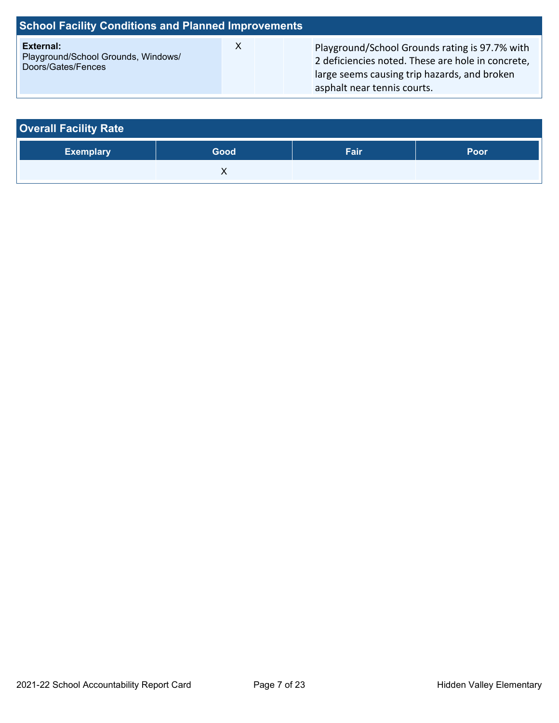| <b>School Facility Conditions and Planned Improvements</b>             |  |                                                                                                                                                     |  |
|------------------------------------------------------------------------|--|-----------------------------------------------------------------------------------------------------------------------------------------------------|--|
| External:<br>Playground/School Grounds, Windows/<br>Doors/Gates/Fences |  | Playground/School Grounds rating is 97.7% with<br>2 deficiencies noted. These are hole in concrete,<br>large seems causing trip hazards, and broken |  |

asphalt near tennis courts.

| <b>Overall Facility Rate</b> |      |      |      |
|------------------------------|------|------|------|
| <b>Exemplary</b>             | Good | Fair | Poor |
|                              |      |      |      |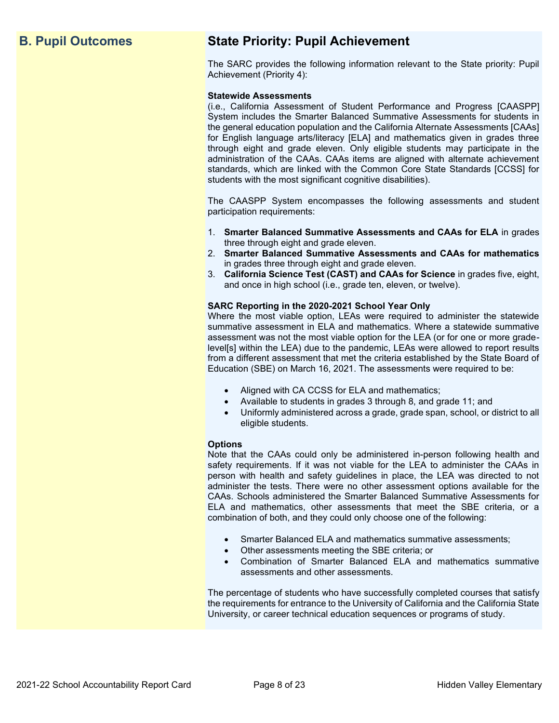# **B. Pupil Outcomes State Priority: Pupil Achievement**

The SARC provides the following information relevant to the State priority: Pupil Achievement (Priority 4):

#### **Statewide Assessments**

(i.e., California Assessment of Student Performance and Progress [CAASPP] System includes the Smarter Balanced Summative Assessments for students in the general education population and the California Alternate Assessments [CAAs] for English language arts/literacy [ELA] and mathematics given in grades three through eight and grade eleven. Only eligible students may participate in the administration of the CAAs. CAAs items are aligned with alternate achievement standards, which are linked with the Common Core State Standards [CCSS] for students with the most significant cognitive disabilities).

The CAASPP System encompasses the following assessments and student participation requirements:

- 1. **Smarter Balanced Summative Assessments and CAAs for ELA** in grades three through eight and grade eleven.
- 2. **Smarter Balanced Summative Assessments and CAAs for mathematics** in grades three through eight and grade eleven.
- 3. **California Science Test (CAST) and CAAs for Science** in grades five, eight, and once in high school (i.e., grade ten, eleven, or twelve).

#### **SARC Reporting in the 2020-2021 School Year Only**

Where the most viable option, LEAs were required to administer the statewide summative assessment in ELA and mathematics. Where a statewide summative assessment was not the most viable option for the LEA (or for one or more gradelevel[s] within the LEA) due to the pandemic, LEAs were allowed to report results from a different assessment that met the criteria established by the State Board of Education (SBE) on March 16, 2021. The assessments were required to be:

- Aligned with CA CCSS for ELA and mathematics;
- Available to students in grades 3 through 8, and grade 11; and
- Uniformly administered across a grade, grade span, school, or district to all eligible students.

#### **Options**

Note that the CAAs could only be administered in-person following health and safety requirements. If it was not viable for the LEA to administer the CAAs in person with health and safety guidelines in place, the LEA was directed to not administer the tests. There were no other assessment options available for the CAAs. Schools administered the Smarter Balanced Summative Assessments for ELA and mathematics, other assessments that meet the SBE criteria, or a combination of both, and they could only choose one of the following:

- Smarter Balanced ELA and mathematics summative assessments;
- Other assessments meeting the SBE criteria; or
- Combination of Smarter Balanced ELA and mathematics summative assessments and other assessments.

The percentage of students who have successfully completed courses that satisfy the requirements for entrance to the University of California and the California State University, or career technical education sequences or programs of study.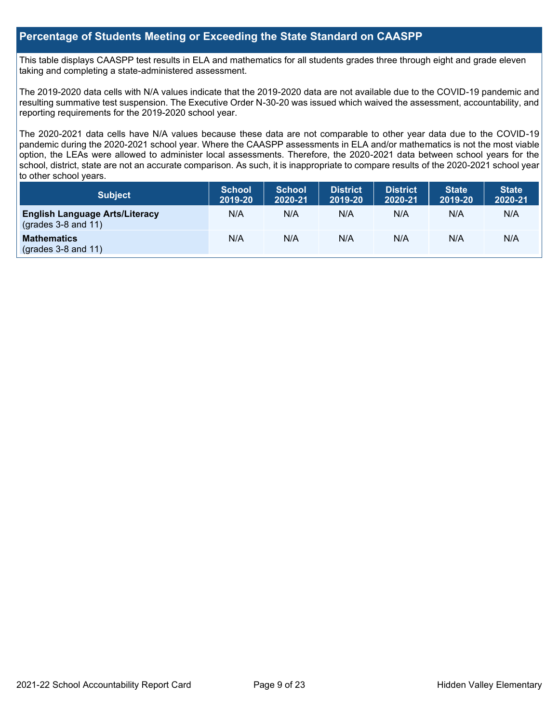# **Percentage of Students Meeting or Exceeding the State Standard on CAASPP**

This table displays CAASPP test results in ELA and mathematics for all students grades three through eight and grade eleven taking and completing a state-administered assessment.

The 2019-2020 data cells with N/A values indicate that the 2019-2020 data are not available due to the COVID-19 pandemic and resulting summative test suspension. The Executive Order N-30-20 was issued which waived the assessment, accountability, and reporting requirements for the 2019-2020 school year.

The 2020-2021 data cells have N/A values because these data are not comparable to other year data due to the COVID-19 pandemic during the 2020-2021 school year. Where the CAASPP assessments in ELA and/or mathematics is not the most viable option, the LEAs were allowed to administer local assessments. Therefore, the 2020-2021 data between school years for the school, district, state are not an accurate comparison. As such, it is inappropriate to compare results of the 2020-2021 school year to other school years.

| Subject                                                              | <b>School</b><br>2019-20 | <b>School</b><br>2020-21 | <b>District</b><br>2019-20 | <b>District</b><br>2020-21 | <b>State</b><br>2019-20 | <b>State</b><br>2020-21 |
|----------------------------------------------------------------------|--------------------------|--------------------------|----------------------------|----------------------------|-------------------------|-------------------------|
| <b>English Language Arts/Literacy</b><br>$\left($ grades 3-8 and 11) | N/A                      | N/A                      | N/A                        | N/A                        | N/A                     | N/A                     |
| <b>Mathematics</b><br>$($ grades 3-8 and 11 $)$                      | N/A                      | N/A                      | N/A                        | N/A                        | N/A                     | N/A                     |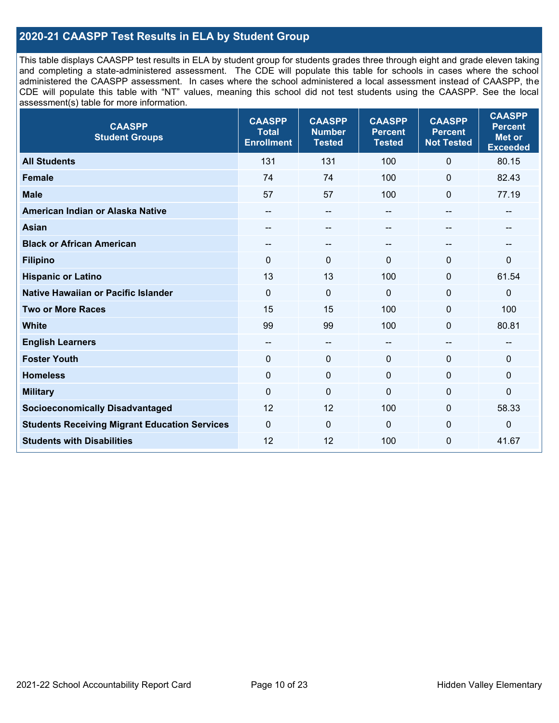# **2020-21 CAASPP Test Results in ELA by Student Group**

This table displays CAASPP test results in ELA by student group for students grades three through eight and grade eleven taking and completing a state-administered assessment. The CDE will populate this table for schools in cases where the school administered the CAASPP assessment. In cases where the school administered a local assessment instead of CAASPP, the CDE will populate this table with "NT" values, meaning this school did not test students using the CAASPP. See the local assessment(s) table for more information.

| <b>CAASPP</b><br><b>Student Groups</b>               | <b>CAASPP</b><br><b>Total</b><br><b>Enrollment</b> | <b>CAASPP</b><br><b>Number</b><br><b>Tested</b> | <b>CAASPP</b><br><b>Percent</b><br><b>Tested</b> | <b>CAASPP</b><br><b>Percent</b><br><b>Not Tested</b> | <b>CAASPP</b><br><b>Percent</b><br><b>Met or</b><br><b>Exceeded</b> |
|------------------------------------------------------|----------------------------------------------------|-------------------------------------------------|--------------------------------------------------|------------------------------------------------------|---------------------------------------------------------------------|
| <b>All Students</b>                                  | 131                                                | 131                                             | 100                                              | $\mathbf 0$                                          | 80.15                                                               |
| <b>Female</b>                                        | 74                                                 | 74                                              | 100                                              | $\Omega$                                             | 82.43                                                               |
| <b>Male</b>                                          | 57                                                 | 57                                              | 100                                              | $\mathbf{0}$                                         | 77.19                                                               |
| American Indian or Alaska Native                     | --                                                 | $\overline{\phantom{m}}$                        | --                                               | $\sim$                                               | --                                                                  |
| <b>Asian</b>                                         | $- -$                                              | --                                              | --                                               |                                                      | --                                                                  |
| <b>Black or African American</b>                     | $\qquad \qquad -$                                  | $\overline{\phantom{a}}$                        | --                                               | $\overline{a}$                                       | --                                                                  |
| <b>Filipino</b>                                      | $\Omega$                                           | $\mathbf{0}$                                    | $\mathbf{0}$                                     | $\Omega$                                             | $\mathbf{0}$                                                        |
| <b>Hispanic or Latino</b>                            | 13                                                 | 13                                              | 100                                              | $\mathbf 0$                                          | 61.54                                                               |
| <b>Native Hawaiian or Pacific Islander</b>           | $\mathbf 0$                                        | $\mathbf 0$                                     | $\mathbf{0}$                                     | $\mathbf 0$                                          | $\mathbf 0$                                                         |
| <b>Two or More Races</b>                             | 15                                                 | 15                                              | 100                                              | $\mathbf 0$                                          | 100                                                                 |
| <b>White</b>                                         | 99                                                 | 99                                              | 100                                              | $\Omega$                                             | 80.81                                                               |
| <b>English Learners</b>                              | $- -$                                              | $\overline{\phantom{a}}$                        | $-$                                              | $\overline{a}$                                       | --                                                                  |
| <b>Foster Youth</b>                                  | $\mathbf 0$                                        | $\mathbf 0$                                     | $\mathbf{0}$                                     | $\mathbf 0$                                          | $\Omega$                                                            |
| <b>Homeless</b>                                      | $\mathbf 0$                                        | $\pmb{0}$                                       | $\mathbf 0$                                      | $\mathbf 0$                                          | 0                                                                   |
| <b>Military</b>                                      | $\mathbf 0$                                        | $\mathbf 0$                                     | $\Omega$                                         | $\Omega$                                             | $\mathbf 0$                                                         |
| <b>Socioeconomically Disadvantaged</b>               | 12                                                 | 12                                              | 100                                              | $\Omega$                                             | 58.33                                                               |
| <b>Students Receiving Migrant Education Services</b> | $\Omega$                                           | $\mathbf 0$                                     | $\mathbf 0$                                      | 0                                                    | $\mathbf 0$                                                         |
| <b>Students with Disabilities</b>                    | 12                                                 | 12                                              | 100                                              | $\overline{0}$                                       | 41.67                                                               |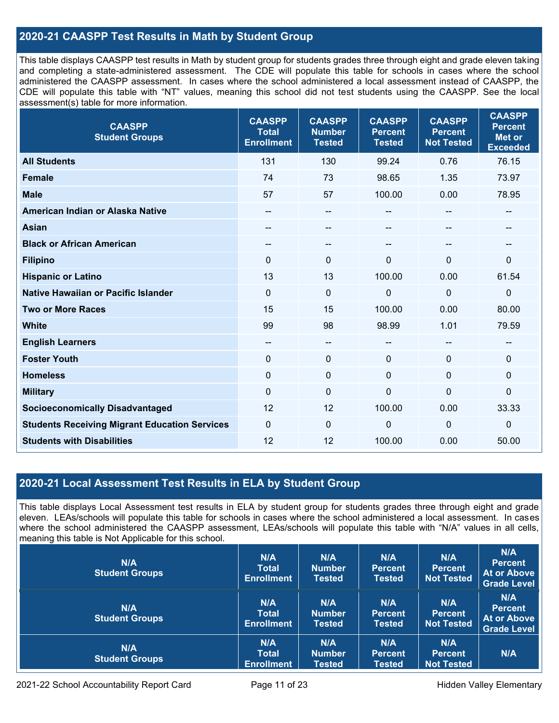# **2020-21 CAASPP Test Results in Math by Student Group**

This table displays CAASPP test results in Math by student group for students grades three through eight and grade eleven taking and completing a state-administered assessment. The CDE will populate this table for schools in cases where the school administered the CAASPP assessment. In cases where the school administered a local assessment instead of CAASPP, the CDE will populate this table with "NT" values, meaning this school did not test students using the CAASPP. See the local assessment(s) table for more information.

| <b>CAASPP</b><br><b>Student Groups</b>               | <b>CAASPP</b><br><b>Total</b><br><b>Enrollment</b> | <b>CAASPP</b><br><b>Number</b><br><b>Tested</b> | <b>CAASPP</b><br><b>Percent</b><br><b>Tested</b> | <b>CAASPP</b><br><b>Percent</b><br><b>Not Tested</b> | <b>CAASPP</b><br><b>Percent</b><br><b>Met or</b><br><b>Exceeded</b> |
|------------------------------------------------------|----------------------------------------------------|-------------------------------------------------|--------------------------------------------------|------------------------------------------------------|---------------------------------------------------------------------|
| <b>All Students</b>                                  | 131                                                | 130                                             | 99.24                                            | 0.76                                                 | 76.15                                                               |
| <b>Female</b>                                        | 74                                                 | 73                                              | 98.65                                            | 1.35                                                 | 73.97                                                               |
| <b>Male</b>                                          | 57                                                 | 57                                              | 100.00                                           | 0.00                                                 | 78.95                                                               |
| American Indian or Alaska Native                     | --                                                 | $\qquad \qquad -$                               | --                                               | --                                                   | --                                                                  |
| <b>Asian</b>                                         |                                                    | --                                              | --                                               |                                                      |                                                                     |
| <b>Black or African American</b>                     | $\overline{\phantom{m}}$                           | --                                              | --                                               | --                                                   | $\sim$                                                              |
| <b>Filipino</b>                                      | $\Omega$                                           | $\mathbf{0}$                                    | $\Omega$                                         | $\Omega$                                             | $\mathbf 0$                                                         |
| <b>Hispanic or Latino</b>                            | 13                                                 | 13                                              | 100.00                                           | 0.00                                                 | 61.54                                                               |
| <b>Native Hawaiian or Pacific Islander</b>           | $\mathbf{0}$                                       | $\pmb{0}$                                       | 0                                                | $\mathbf{0}$                                         | $\pmb{0}$                                                           |
| <b>Two or More Races</b>                             | 15                                                 | 15                                              | 100.00                                           | 0.00                                                 | 80.00                                                               |
| <b>White</b>                                         | 99                                                 | 98                                              | 98.99                                            | 1.01                                                 | 79.59                                                               |
| <b>English Learners</b>                              | --                                                 | --                                              | --                                               | --                                                   | --                                                                  |
| <b>Foster Youth</b>                                  | $\mathbf 0$                                        | $\mathbf 0$                                     | $\mathbf 0$                                      | 0                                                    | $\mathbf 0$                                                         |
| <b>Homeless</b>                                      | $\mathbf{0}$                                       | $\pmb{0}$                                       | $\mathbf 0$                                      | $\Omega$                                             | $\mathbf 0$                                                         |
| <b>Military</b>                                      | $\mathbf 0$                                        | $\pmb{0}$                                       | 0                                                | $\mathbf 0$                                          | $\pmb{0}$                                                           |
| <b>Socioeconomically Disadvantaged</b>               | 12                                                 | 12                                              | 100.00                                           | 0.00                                                 | 33.33                                                               |
| <b>Students Receiving Migrant Education Services</b> | $\mathbf 0$                                        | 0                                               | 0                                                | $\mathbf{0}$                                         | $\mathbf 0$                                                         |
| <b>Students with Disabilities</b>                    | 12                                                 | 12                                              | 100.00                                           | 0.00                                                 | 50.00                                                               |

# **2020-21 Local Assessment Test Results in ELA by Student Group**

This table displays Local Assessment test results in ELA by student group for students grades three through eight and grade eleven. LEAs/schools will populate this table for schools in cases where the school administered a local assessment. In cases where the school administered the CAASPP assessment, LEAs/schools will populate this table with "N/A" values in all cells, meaning this table is Not Applicable for this school.

| N/A<br><b>Student Groups</b> | N/A<br><b>Total</b><br><b>Enrollment</b> | N/A<br><b>Number</b><br><b>Tested</b> | N/A<br><b>Percent</b><br>Tested        | N/A<br><b>Percent</b><br><b>Not Tested</b> | N/A<br><b>Percent</b><br>At or Above<br><b>Grade Level</b> |
|------------------------------|------------------------------------------|---------------------------------------|----------------------------------------|--------------------------------------------|------------------------------------------------------------|
| N/A<br><b>Student Groups</b> | N/A<br><b>Total</b><br><b>Enrollment</b> | N/A<br><b>Number</b><br><b>Tested</b> | N/A<br><b>Percent</b><br><b>Tested</b> | N/A<br><b>Percent</b><br><b>Not Tested</b> | N/A<br><b>Percent</b><br>At or Above<br><b>Grade Level</b> |
| N/A<br><b>Student Groups</b> | N/A<br><b>Total</b><br><b>Enrollment</b> | N/A<br><b>Number</b><br><b>Tested</b> | N/A<br><b>Percent</b><br><b>Tested</b> | N/A<br><b>Percent</b><br><b>Not Tested</b> | N/A                                                        |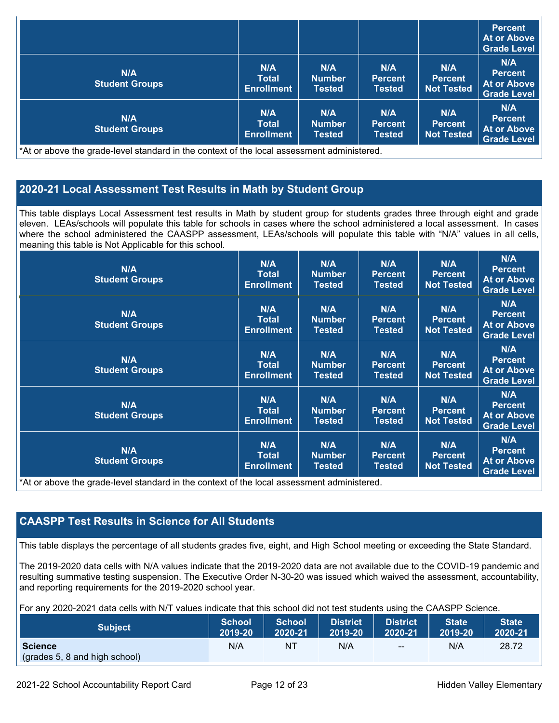|                                     |                                          |                                       |                                        |                                            | <b>Percent</b><br>At or Above<br><b>Grade Level</b>        |
|-------------------------------------|------------------------------------------|---------------------------------------|----------------------------------------|--------------------------------------------|------------------------------------------------------------|
| <b>N/A</b><br><b>Student Groups</b> | N/A<br><b>Total</b><br><b>Enrollment</b> | N/A<br><b>Number</b><br><b>Tested</b> | N/A<br><b>Percent</b><br><b>Tested</b> | N/A<br><b>Percent</b><br><b>Not Tested</b> | N/A<br><b>Percent</b><br>At or Above<br><b>Grade Level</b> |
| N/A<br><b>Student Groups</b>        | N/A<br>Total<br><b>Enrollment</b>        | N/A<br><b>Number</b><br><b>Tested</b> | N/A<br><b>Percent</b><br>Tested        | N/A<br><b>Percent</b><br>Not Tested        | N/A<br><b>Percent</b><br>At or Above<br><b>Grade Level</b> |

At or above the grade-level standard in the context or the local assessment administered.

# **2020-21 Local Assessment Test Results in Math by Student Group**

This table displays Local Assessment test results in Math by student group for students grades three through eight and grade eleven. LEAs/schools will populate this table for schools in cases where the school administered a local assessment. In cases where the school administered the CAASPP assessment, LEAs/schools will populate this table with "N/A" values in all cells, meaning this table is Not Applicable for this school.

| N/A<br><b>Student Groups</b>                                                                                                                | N/A<br><b>Total</b><br><b>Enrollment</b> | N/A<br><b>Number</b><br><b>Tested</b> | N/A<br><b>Percent</b><br><b>Tested</b> | N/A<br><b>Percent</b><br><b>Not Tested</b> | N/A<br><b>Percent</b><br><b>At or Above</b><br><b>Grade Level</b> |
|---------------------------------------------------------------------------------------------------------------------------------------------|------------------------------------------|---------------------------------------|----------------------------------------|--------------------------------------------|-------------------------------------------------------------------|
| <b>N/A</b><br><b>Student Groups</b>                                                                                                         | N/A<br><b>Total</b><br><b>Enrollment</b> | N/A<br><b>Number</b><br><b>Tested</b> | N/A<br><b>Percent</b><br><b>Tested</b> | N/A<br><b>Percent</b><br><b>Not Tested</b> | N/A<br><b>Percent</b><br><b>At or Above</b><br><b>Grade Level</b> |
| N/A<br><b>Student Groups</b>                                                                                                                | N/A<br><b>Total</b><br><b>Enrollment</b> | N/A<br><b>Number</b><br>Tested        | N/A<br><b>Percent</b><br><b>Tested</b> | N/A<br><b>Percent</b><br><b>Not Tested</b> | N/A<br><b>Percent</b><br><b>At or Above</b><br><b>Grade Level</b> |
| N/A<br><b>Student Groups</b>                                                                                                                | N/A<br><b>Total</b><br><b>Enrollment</b> | N/A<br><b>Number</b><br><b>Tested</b> | N/A<br><b>Percent</b><br><b>Tested</b> | N/A<br><b>Percent</b><br><b>Not Tested</b> | N/A<br><b>Percent</b><br><b>At or Above</b><br><b>Grade Level</b> |
| <b>N/A</b><br><b>Student Groups</b><br>*At an alarma that would have been doned by the completed of the house accession of a distributional | N/A<br><b>Total</b><br><b>Enrollment</b> | N/A<br><b>Number</b><br>Tested        | N/A<br><b>Percent</b><br><b>Tested</b> | N/A<br><b>Percent</b><br><b>Not Tested</b> | N/A<br><b>Percent</b><br><b>At or Above</b><br><b>Grade Level</b> |

\*At or above the grade-level standard in the context of the local assessment administered.

# **CAASPP Test Results in Science for All Students**

This table displays the percentage of all students grades five, eight, and High School meeting or exceeding the State Standard.

The 2019-2020 data cells with N/A values indicate that the 2019-2020 data are not available due to the COVID-19 pandemic and resulting summative testing suspension. The Executive Order N-30-20 was issued which waived the assessment, accountability, and reporting requirements for the 2019-2020 school year.

For any 2020-2021 data cells with N/T values indicate that this school did not test students using the CAASPP Science.

| <b>Subject</b>                                  | <b>School</b> | <b>School</b> | <b>District</b> | District | <b>State</b> | <b>State</b> |
|-------------------------------------------------|---------------|---------------|-----------------|----------|--------------|--------------|
|                                                 | 2019-20       | 2020-21       | 2019-20         | 2020-21  | 2019-20      | 2020-21      |
| <b>Science</b><br>(grades 5, 8 and high school) | N/A           | ΝI            | N/A             | $- -$    | N/A          | 28.72        |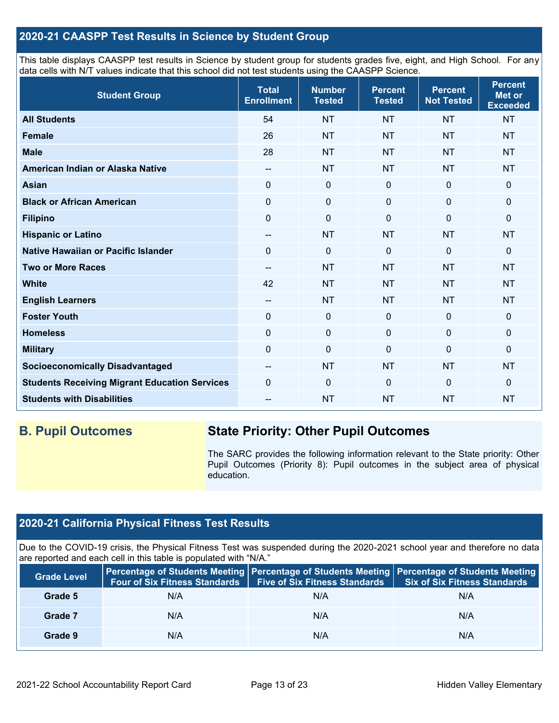# **2020-21 CAASPP Test Results in Science by Student Group**

This table displays CAASPP test results in Science by student group for students grades five, eight, and High School. For any data cells with N/T values indicate that this school did not test students using the CAASPP Science.

| <b>Student Group</b>                                 | <b>Total</b><br><b>Enrollment</b>     | <b>Number</b><br><b>Tested</b> | <b>Percent</b><br><b>Tested</b> | <b>Percent</b><br><b>Not Tested</b> | <b>Percent</b><br><b>Met or</b><br><b>Exceeded</b> |
|------------------------------------------------------|---------------------------------------|--------------------------------|---------------------------------|-------------------------------------|----------------------------------------------------|
| <b>All Students</b>                                  | 54                                    | <b>NT</b>                      | <b>NT</b>                       | <b>NT</b>                           | <b>NT</b>                                          |
| Female                                               | 26                                    | <b>NT</b>                      | <b>NT</b>                       | <b>NT</b>                           | <b>NT</b>                                          |
| <b>Male</b>                                          | 28                                    | <b>NT</b>                      | <b>NT</b>                       | <b>NT</b>                           | <b>NT</b>                                          |
| American Indian or Alaska Native                     | --                                    | <b>NT</b>                      | <b>NT</b>                       | <b>NT</b>                           | <b>NT</b>                                          |
| <b>Asian</b>                                         | $\mathbf 0$                           | $\pmb{0}$                      | $\mathbf 0$                     | $\mathbf 0$                         | $\mathbf 0$                                        |
| <b>Black or African American</b>                     | $\mathbf 0$                           | $\pmb{0}$                      | $\mathbf 0$                     | $\mathbf 0$                         | 0                                                  |
| <b>Filipino</b>                                      | 0                                     | $\mathbf 0$                    | 0                               | $\Omega$                            | 0                                                  |
| <b>Hispanic or Latino</b>                            | $\qquad \qquad -$                     | <b>NT</b>                      | <b>NT</b>                       | <b>NT</b>                           | <b>NT</b>                                          |
| Native Hawaiian or Pacific Islander                  | $\Omega$                              | $\mathbf 0$                    | $\Omega$                        | $\overline{0}$                      | 0                                                  |
| <b>Two or More Races</b>                             | $-$                                   | <b>NT</b>                      | <b>NT</b>                       | <b>NT</b>                           | <b>NT</b>                                          |
| <b>White</b>                                         | 42                                    | <b>NT</b>                      | <b>NT</b>                       | <b>NT</b>                           | <b>NT</b>                                          |
| <b>English Learners</b>                              | $\hspace{0.05cm}$ – $\hspace{0.05cm}$ | <b>NT</b>                      | <b>NT</b>                       | <b>NT</b>                           | <b>NT</b>                                          |
| <b>Foster Youth</b>                                  | $\mathbf 0$                           | $\pmb{0}$                      | $\mathbf 0$                     | $\mathbf 0$                         | $\mathbf 0$                                        |
| <b>Homeless</b>                                      | $\mathbf 0$                           | $\pmb{0}$                      | $\mathbf 0$                     | $\mathbf 0$                         | 0                                                  |
| <b>Military</b>                                      | $\mathbf 0$                           | $\pmb{0}$                      | $\Omega$                        | $\mathbf 0$                         | 0                                                  |
| <b>Socioeconomically Disadvantaged</b>               | $\qquad \qquad -$                     | <b>NT</b>                      | <b>NT</b>                       | <b>NT</b>                           | <b>NT</b>                                          |
| <b>Students Receiving Migrant Education Services</b> | $\mathbf 0$                           | $\mathbf 0$                    | $\Omega$                        | $\mathbf 0$                         | 0                                                  |
| <b>Students with Disabilities</b>                    | --                                    | <b>NT</b>                      | <b>NT</b>                       | <b>NT</b>                           | <b>NT</b>                                          |

# **B. Pupil Outcomes State Priority: Other Pupil Outcomes**

The SARC provides the following information relevant to the State priority: Other Pupil Outcomes (Priority 8): Pupil outcomes in the subject area of physical education.

# **2020-21 California Physical Fitness Test Results**

Due to the COVID-19 crisis, the Physical Fitness Test was suspended during the 2020-2021 school year and therefore no data are reported and each cell in this table is populated with "N/A."

| <b>Grade Level</b> | <b>Four of Six Fitness Standards</b> | <b>Five of Six Fitness Standards</b> | Percentage of Students Meeting   Percentage of Students Meeting   Percentage of Students Meeting<br><b>Six of Six Fitness Standards</b> |
|--------------------|--------------------------------------|--------------------------------------|-----------------------------------------------------------------------------------------------------------------------------------------|
| Grade 5            | N/A                                  | N/A                                  | N/A                                                                                                                                     |
| Grade 7            | N/A                                  | N/A                                  | N/A                                                                                                                                     |
| Grade 9            | N/A                                  | N/A                                  | N/A                                                                                                                                     |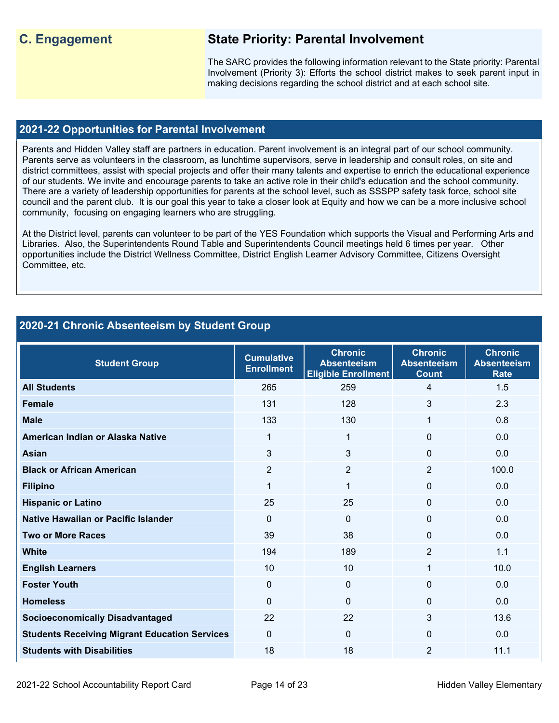# **C. Engagement State Priority: Parental Involvement**

The SARC provides the following information relevant to the State priority: Parental Involvement (Priority 3): Efforts the school district makes to seek parent input in making decisions regarding the school district and at each school site.

# **2021-22 Opportunities for Parental Involvement**

Parents and Hidden Valley staff are partners in education. Parent involvement is an integral part of our school community. Parents serve as volunteers in the classroom, as lunchtime supervisors, serve in leadership and consult roles, on site and district committees, assist with special projects and offer their many talents and expertise to enrich the educational experience of our students. We invite and encourage parents to take an active role in their child's education and the school community. There are a variety of leadership opportunities for parents at the school level, such as SSSPP safety task force, school site council and the parent club. It is our goal this year to take a closer look at Equity and how we can be a more inclusive school community, focusing on engaging learners who are struggling.

At the District level, parents can volunteer to be part of the YES Foundation which supports the Visual and Performing Arts and Libraries. Also, the Superintendents Round Table and Superintendents Council meetings held 6 times per year. Other opportunities include the District Wellness Committee, District English Learner Advisory Committee, Citizens Oversight Committee, etc.

# **2020-21 Chronic Absenteeism by Student Group**

| <b>Student Group</b>                                 | <b>Cumulative</b><br><b>Enrollment</b> | <b>Chronic</b><br><b>Absenteeism</b><br><b>Eligible Enrollment</b> |                | <b>Chronic</b><br><b>Absenteeism</b><br><b>Rate</b> |
|------------------------------------------------------|----------------------------------------|--------------------------------------------------------------------|----------------|-----------------------------------------------------|
| <b>All Students</b>                                  | 265                                    | 259                                                                | 4              | 1.5                                                 |
| <b>Female</b>                                        | 131                                    | 128                                                                | 3              | 2.3                                                 |
| <b>Male</b>                                          | 133                                    | 130                                                                | 1              | 0.8                                                 |
| American Indian or Alaska Native                     | 1                                      | 1                                                                  | $\Omega$       | 0.0                                                 |
| <b>Asian</b>                                         | 3                                      | 3                                                                  | 0              | 0.0                                                 |
| <b>Black or African American</b>                     | $\overline{2}$                         | $\overline{2}$                                                     | $\overline{2}$ | 100.0                                               |
| <b>Filipino</b>                                      | 1                                      | $\mathbf{1}$                                                       | 0              | 0.0                                                 |
| <b>Hispanic or Latino</b>                            | 25                                     | 25                                                                 | $\Omega$       | 0.0                                                 |
| Native Hawaiian or Pacific Islander                  | $\Omega$                               | $\Omega$                                                           | $\Omega$       | 0.0                                                 |
| <b>Two or More Races</b>                             | 39                                     | 38                                                                 | $\Omega$       | 0.0                                                 |
| <b>White</b>                                         | 194                                    | 189                                                                | $\overline{2}$ | 1.1                                                 |
| <b>English Learners</b>                              | 10                                     | 10                                                                 | 1              | 10.0                                                |
| <b>Foster Youth</b>                                  | $\Omega$                               | $\Omega$                                                           | $\mathbf{0}$   | 0.0                                                 |
| <b>Homeless</b>                                      | $\Omega$                               | $\Omega$                                                           | $\Omega$       | 0.0                                                 |
| <b>Socioeconomically Disadvantaged</b>               | 22                                     | 22                                                                 | 3              | 13.6                                                |
| <b>Students Receiving Migrant Education Services</b> | $\Omega$                               | $\Omega$                                                           | $\mathbf{0}$   | 0.0                                                 |
| <b>Students with Disabilities</b>                    | 18                                     | 18                                                                 | 2              | 11.1                                                |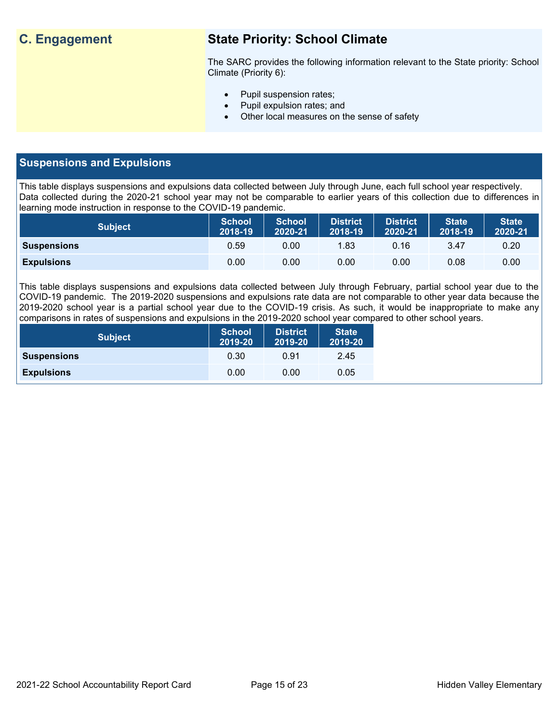# **C. Engagement State Priority: School Climate**

The SARC provides the following information relevant to the State priority: School Climate (Priority 6):

- Pupil suspension rates;
- Pupil expulsion rates; and
- Other local measures on the sense of safety

# **Suspensions and Expulsions**

This table displays suspensions and expulsions data collected between July through June, each full school year respectively. Data collected during the 2020-21 school year may not be comparable to earlier years of this collection due to differences in learning mode instruction in response to the COVID-19 pandemic.

| <b>Subject</b>     | <b>School</b><br>2018-19 | <b>School</b><br>2020-21 | <b>District</b><br>2018-19 | <b>District</b><br>2020-21 | <b>State</b><br>2018-19 | <b>State</b><br>2020-21 |
|--------------------|--------------------------|--------------------------|----------------------------|----------------------------|-------------------------|-------------------------|
| <b>Suspensions</b> | 0.59                     | 0.00                     | 1.83                       | 0.16                       | 3.47                    | 0.20                    |
| <b>Expulsions</b>  | 0.00                     | 0.00                     | 0.00                       | 0.00                       | 0.08                    | 0.00                    |

This table displays suspensions and expulsions data collected between July through February, partial school year due to the COVID-19 pandemic. The 2019-2020 suspensions and expulsions rate data are not comparable to other year data because the 2019-2020 school year is a partial school year due to the COVID-19 crisis. As such, it would be inappropriate to make any comparisons in rates of suspensions and expulsions in the 2019-2020 school year compared to other school years.

| <b>Subject</b>     | <b>School</b><br>2019-20 | <b>District</b><br>2019-20 | <b>State</b><br>2019-20 |
|--------------------|--------------------------|----------------------------|-------------------------|
| <b>Suspensions</b> | 0.30                     | 0.91                       | 2.45                    |
| <b>Expulsions</b>  | 0.00                     | 0.00                       | 0.05                    |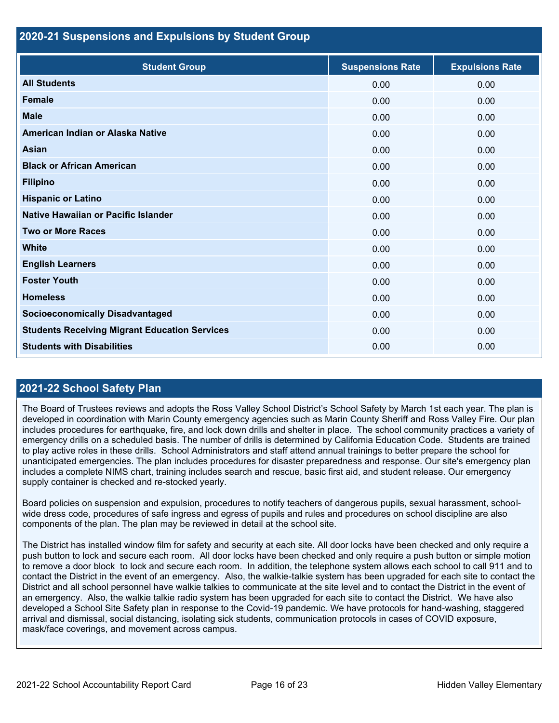## **2020-21 Suspensions and Expulsions by Student Group**

| <b>Student Group</b>                                 | <b>Suspensions Rate</b> | <b>Expulsions Rate</b> |
|------------------------------------------------------|-------------------------|------------------------|
| <b>All Students</b>                                  | 0.00                    | 0.00                   |
| <b>Female</b>                                        | 0.00                    | 0.00                   |
| <b>Male</b>                                          | 0.00                    | 0.00                   |
| American Indian or Alaska Native                     | 0.00                    | 0.00                   |
| <b>Asian</b>                                         | 0.00                    | 0.00                   |
| <b>Black or African American</b>                     | 0.00                    | 0.00                   |
| <b>Filipino</b>                                      | 0.00                    | 0.00                   |
| <b>Hispanic or Latino</b>                            | 0.00                    | 0.00                   |
| Native Hawaiian or Pacific Islander                  | 0.00                    | 0.00                   |
| <b>Two or More Races</b>                             | 0.00                    | 0.00                   |
| <b>White</b>                                         | 0.00                    | 0.00                   |
| <b>English Learners</b>                              | 0.00                    | 0.00                   |
| <b>Foster Youth</b>                                  | 0.00                    | 0.00                   |
| <b>Homeless</b>                                      | 0.00                    | 0.00                   |
| <b>Socioeconomically Disadvantaged</b>               | 0.00                    | 0.00                   |
| <b>Students Receiving Migrant Education Services</b> | 0.00                    | 0.00                   |
| <b>Students with Disabilities</b>                    | 0.00                    | 0.00                   |

# **2021-22 School Safety Plan**

The Board of Trustees reviews and adopts the Ross Valley School District's School Safety by March 1st each year. The plan is developed in coordination with Marin County emergency agencies such as Marin County Sheriff and Ross Valley Fire. Our plan includes procedures for earthquake, fire, and lock down drills and shelter in place. The school community practices a variety of emergency drills on a scheduled basis. The number of drills is determined by California Education Code. Students are trained to play active roles in these drills. School Administrators and staff attend annual trainings to better prepare the school for unanticipated emergencies. The plan includes procedures for disaster preparedness and response. Our site's emergency plan includes a complete NIMS chart, training includes search and rescue, basic first aid, and student release. Our emergency supply container is checked and re-stocked yearly.

Board policies on suspension and expulsion, procedures to notify teachers of dangerous pupils, sexual harassment, schoolwide dress code, procedures of safe ingress and egress of pupils and rules and procedures on school discipline are also components of the plan. The plan may be reviewed in detail at the school site.

The District has installed window film for safety and security at each site. All door locks have been checked and only require a push button to lock and secure each room. All door locks have been checked and only require a push button or simple motion to remove a door block to lock and secure each room. In addition, the telephone system allows each school to call 911 and to contact the District in the event of an emergency. Also, the walkie-talkie system has been upgraded for each site to contact the District and all school personnel have walkie talkies to communicate at the site level and to contact the District in the event of an emergency. Also, the walkie talkie radio system has been upgraded for each site to contact the District. We have also developed a School Site Safety plan in response to the Covid-19 pandemic. We have protocols for hand-washing, staggered arrival and dismissal, social distancing, isolating sick students, communication protocols in cases of COVID exposure, mask/face coverings, and movement across campus.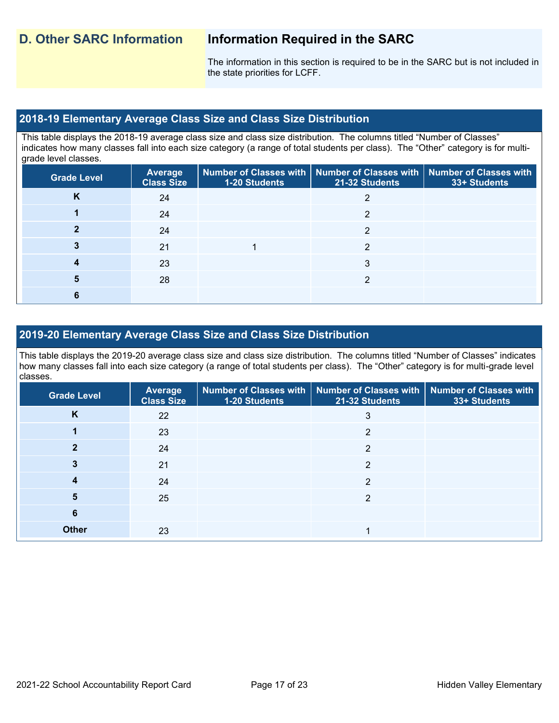The information in this section is required to be in the SARC but is not included in the state priorities for LCFF.

# **2018-19 Elementary Average Class Size and Class Size Distribution**

This table displays the 2018-19 average class size and class size distribution. The columns titled "Number of Classes" indicates how many classes fall into each size category (a range of total students per class). The "Other" category is for multigrade level classes.

| <b>Grade Level</b> | <b>Average</b><br><b>Class Size</b> | <b>1-20 Students</b> | Number of Classes with   Number of Classes with   Number of Classes with<br>21-32 Students | 33+ Students |
|--------------------|-------------------------------------|----------------------|--------------------------------------------------------------------------------------------|--------------|
| K                  | 24                                  |                      |                                                                                            |              |
|                    | 24                                  |                      | ∩                                                                                          |              |
|                    | 24                                  |                      | ◠                                                                                          |              |
| 3                  | 21                                  |                      | າ                                                                                          |              |
| 4                  | 23                                  |                      | 3                                                                                          |              |
| 5                  | 28                                  |                      |                                                                                            |              |
| 6                  |                                     |                      |                                                                                            |              |

# **2019-20 Elementary Average Class Size and Class Size Distribution**

This table displays the 2019-20 average class size and class size distribution. The columns titled "Number of Classes" indicates how many classes fall into each size category (a range of total students per class). The "Other" category is for multi-grade level classes.

| <b>Grade Level</b> | Average<br><b>Class Size</b> | 1-20 Students | Number of Classes with   Number of Classes with   Number of Classes with<br>21-32 Students | 33+ Students |
|--------------------|------------------------------|---------------|--------------------------------------------------------------------------------------------|--------------|
| K                  | 22                           |               | 3                                                                                          |              |
|                    | 23                           |               | 2                                                                                          |              |
| າ                  | 24                           |               | 2                                                                                          |              |
|                    | 21                           |               | 2                                                                                          |              |
| 4                  | 24                           |               | C                                                                                          |              |
| 5                  | 25                           |               | ◠                                                                                          |              |
| 6                  |                              |               |                                                                                            |              |
| <b>Other</b>       | 23                           |               |                                                                                            |              |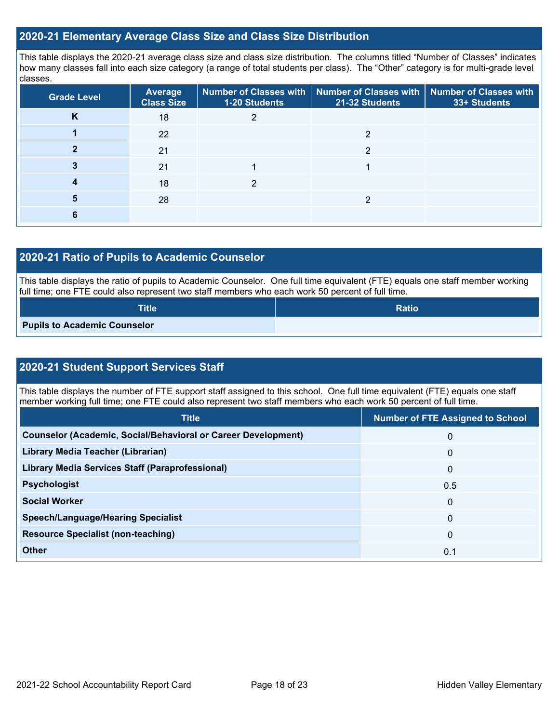# **2020-21 Elementary Average Class Size and Class Size Distribution**

This table displays the 2020-21 average class size and class size distribution. The columns titled "Number of Classes" indicates how many classes fall into each size category (a range of total students per class). The "Other" category is for multi-grade level classes.

| <b>Grade Level</b> | <b>Average</b><br><b>Class Size</b> | <b>1-20 Students</b> | Number of Classes with   Number of Classes with   Number of Classes with<br>21-32 Students | 33+ Students |
|--------------------|-------------------------------------|----------------------|--------------------------------------------------------------------------------------------|--------------|
| K                  | 18                                  |                      |                                                                                            |              |
|                    | 22                                  |                      | ◠                                                                                          |              |
|                    | 21                                  |                      | っ                                                                                          |              |
|                    | 21                                  |                      |                                                                                            |              |
|                    | 18                                  | ◠                    |                                                                                            |              |
| 5                  | 28                                  |                      | っ                                                                                          |              |
|                    |                                     |                      |                                                                                            |              |

# **2020-21 Ratio of Pupils to Academic Counselor**

This table displays the ratio of pupils to Academic Counselor. One full time equivalent (FTE) equals one staff member working full time; one FTE could also represent two staff members who each work 50 percent of full time.

| <b>Title</b>                        | <b>Ratio</b> |
|-------------------------------------|--------------|
| <b>Pupils to Academic Counselor</b> |              |

# **2020-21 Student Support Services Staff**

This table displays the number of FTE support staff assigned to this school. One full time equivalent (FTE) equals one staff member working full time; one FTE could also represent two staff members who each work 50 percent of full time.

| <b>Title</b>                                                         | <b>Number of FTE Assigned to School</b> |
|----------------------------------------------------------------------|-----------------------------------------|
| <b>Counselor (Academic, Social/Behavioral or Career Development)</b> | $\mathbf 0$                             |
| Library Media Teacher (Librarian)                                    | $\Omega$                                |
| <b>Library Media Services Staff (Paraprofessional)</b>               | $\Omega$                                |
| <b>Psychologist</b>                                                  | 0.5                                     |
| <b>Social Worker</b>                                                 | $\Omega$                                |
| <b>Speech/Language/Hearing Specialist</b>                            | $\Omega$                                |
| <b>Resource Specialist (non-teaching)</b>                            | $\Omega$                                |
| Other                                                                | 0.1                                     |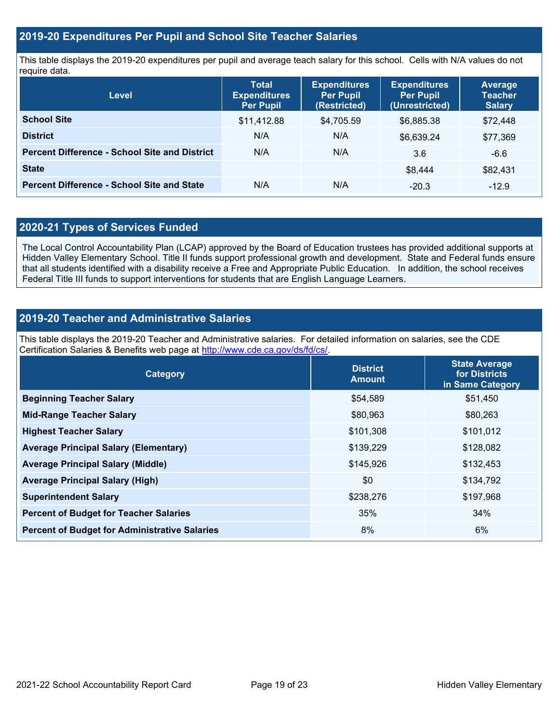# **2019-20 Expenditures Per Pupil and School Site Teacher Salaries**

This table displays the 2019-20 expenditures per pupil and average teach salary for this school. Cells with N/A values do not require data.

| Level                                                | <b>Total</b><br><b>Expenditures</b><br><b>Per Pupil</b> | <b>Expenditures</b><br><b>Per Pupil</b><br>(Restricted) | <b>Expenditures</b><br><b>Per Pupil</b><br>(Unrestricted) | <b>Average</b><br><b>Teacher</b><br><b>Salary</b> |
|------------------------------------------------------|---------------------------------------------------------|---------------------------------------------------------|-----------------------------------------------------------|---------------------------------------------------|
| <b>School Site</b>                                   | \$11,412.88                                             | \$4,705.59                                              | \$6,885.38                                                | \$72,448                                          |
| <b>District</b>                                      | N/A                                                     | N/A                                                     | \$6,639.24                                                | \$77,369                                          |
| <b>Percent Difference - School Site and District</b> | N/A                                                     | N/A                                                     | 3.6                                                       | $-6.6$                                            |
| <b>State</b>                                         |                                                         |                                                         | \$8.444                                                   | \$82,431                                          |
| <b>Percent Difference - School Site and State</b>    | N/A                                                     | N/A                                                     | $-20.3$                                                   | $-12.9$                                           |

# **2020-21 Types of Services Funded**

The Local Control Accountability Plan (LCAP) approved by the Board of Education trustees has provided additional supports at Hidden Valley Elementary School. Title II funds support professional growth and development. State and Federal funds ensure that all students identified with a disability receive a Free and Appropriate Public Education. In addition, the school receives Federal Title III funds to support interventions for students that are English Language Learners.

# **2019-20 Teacher and Administrative Salaries**

This table displays the 2019-20 Teacher and Administrative salaries. For detailed information on salaries, see the CDE Certification Salaries & Benefits web page at [http://www.cde.ca.gov/ds/fd/cs/.](http://www.cde.ca.gov/ds/fd/cs/)

| Category                                             | <b>District</b><br><b>Amount</b> | <b>State Average</b><br>for Districts<br>in Same Category |
|------------------------------------------------------|----------------------------------|-----------------------------------------------------------|
| <b>Beginning Teacher Salary</b>                      | \$54,589                         | \$51,450                                                  |
| <b>Mid-Range Teacher Salary</b>                      | \$80,963                         | \$80,263                                                  |
| <b>Highest Teacher Salary</b>                        | \$101,308                        | \$101,012                                                 |
| <b>Average Principal Salary (Elementary)</b>         | \$139,229                        | \$128,082                                                 |
| <b>Average Principal Salary (Middle)</b>             | \$145,926                        | \$132,453                                                 |
| <b>Average Principal Salary (High)</b>               | \$0                              | \$134,792                                                 |
| <b>Superintendent Salary</b>                         | \$238,276                        | \$197,968                                                 |
| <b>Percent of Budget for Teacher Salaries</b>        | 35%                              | 34%                                                       |
| <b>Percent of Budget for Administrative Salaries</b> | 8%                               | 6%                                                        |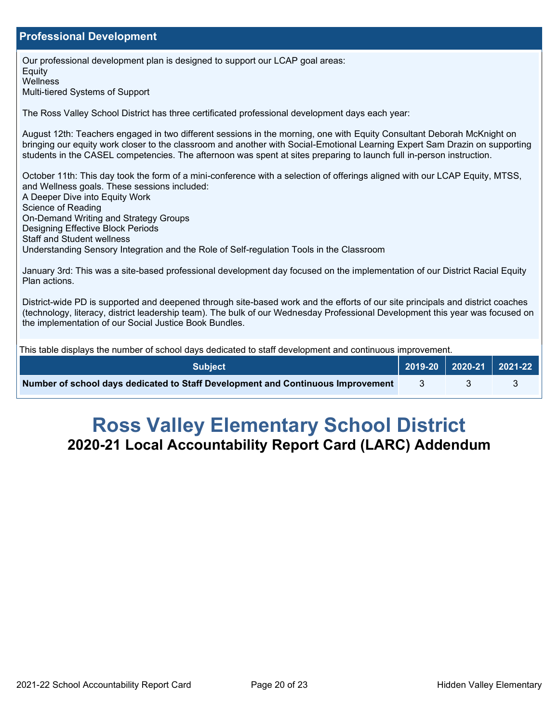# **Professional Development**

Our professional development plan is designed to support our LCAP goal areas: **Equity Wellness** Multi-tiered Systems of Support The Ross Valley School District has three certificated professional development days each year: August 12th: Teachers engaged in two different sessions in the morning, one with Equity Consultant Deborah McKnight on bringing our equity work closer to the classroom and another with Social-Emotional Learning Expert Sam Drazin on supporting students in the CASEL competencies. The afternoon was spent at sites preparing to launch full in-person instruction. October 11th: This day took the form of a mini-conference with a selection of offerings aligned with our LCAP Equity, MTSS, and Wellness goals. These sessions included: A Deeper Dive into Equity Work Science of Reading On-Demand Writing and Strategy Groups Designing Effective Block Periods Staff and Student wellness Understanding Sensory Integration and the Role of Self-regulation Tools in the Classroom January 3rd: This was a site-based professional development day focused on the implementation of our District Racial Equity Plan actions. District-wide PD is supported and deepened through site-based work and the efforts of our site principals and district coaches (technology, literacy, district leadership team). The bulk of our Wednesday Professional Development this year was focused on the implementation of our Social Justice Book Bundles. This table displays the number of school days dedicated to staff development and continuous improvement. **Subject 2019-20 2020-21 2021-22 Number of school days dedicated to Staff Development and Continuous Improvement**  $\frac{3}{3}$  3

# **Ross Valley Elementary School District 2020-21 Local Accountability Report Card (LARC) Addendum**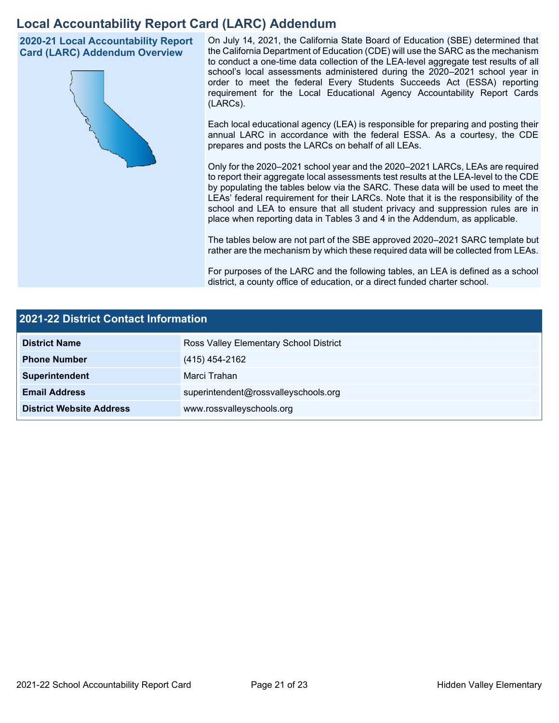# **Local Accountability Report Card (LARC) Addendum**

**2020-21 Local Accountability Report Card (LARC) Addendum Overview**



On July 14, 2021, the California State Board of Education (SBE) determined that the California Department of Education (CDE) will use the SARC as the mechanism to conduct a one-time data collection of the LEA-level aggregate test results of all school's local assessments administered during the 2020–2021 school year in order to meet the federal Every Students Succeeds Act (ESSA) reporting requirement for the Local Educational Agency Accountability Report Cards (LARCs).

Each local educational agency (LEA) is responsible for preparing and posting their annual LARC in accordance with the federal ESSA. As a courtesy, the CDE prepares and posts the LARCs on behalf of all LEAs.

Only for the 2020–2021 school year and the 2020–2021 LARCs, LEAs are required to report their aggregate local assessments test results at the LEA-level to the CDE by populating the tables below via the SARC. These data will be used to meet the LEAs' federal requirement for their LARCs. Note that it is the responsibility of the school and LEA to ensure that all student privacy and suppression rules are in place when reporting data in Tables 3 and 4 in the Addendum, as applicable.

The tables below are not part of the SBE approved 2020–2021 SARC template but rather are the mechanism by which these required data will be collected from LEAs.

For purposes of the LARC and the following tables, an LEA is defined as a school district, a county office of education, or a direct funded charter school.

| <b>2021-22 District Contact Information</b> |                                        |  |  |  |
|---------------------------------------------|----------------------------------------|--|--|--|
| <b>District Name</b>                        | Ross Valley Elementary School District |  |  |  |
| <b>Phone Number</b>                         | (415) 454-2162                         |  |  |  |
| Superintendent                              | Marci Trahan                           |  |  |  |
| <b>Email Address</b>                        | superintendent@rossvalleyschools.org   |  |  |  |
| <b>District Website Address</b>             | www.rossvalleyschools.org              |  |  |  |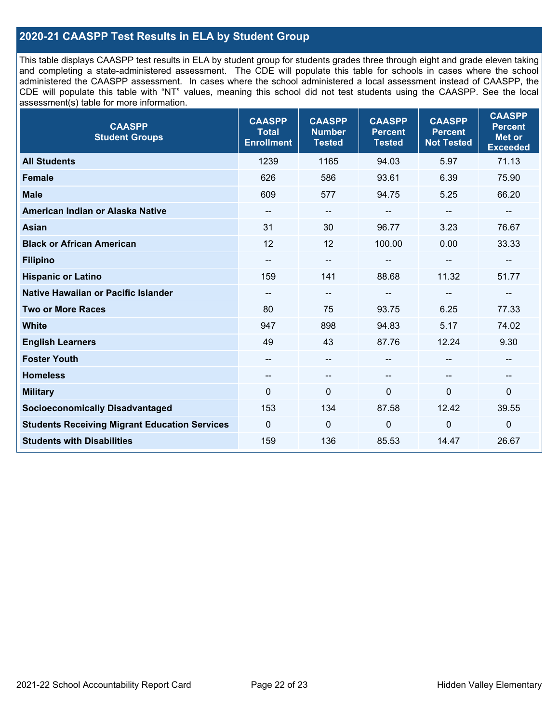# **2020-21 CAASPP Test Results in ELA by Student Group**

This table displays CAASPP test results in ELA by student group for students grades three through eight and grade eleven taking and completing a state-administered assessment. The CDE will populate this table for schools in cases where the school administered the CAASPP assessment. In cases where the school administered a local assessment instead of CAASPP, the CDE will populate this table with "NT" values, meaning this school did not test students using the CAASPP. See the local assessment(s) table for more information.

| <b>CAASPP</b><br><b>Student Groups</b>               | <b>CAASPP</b><br><b>Total</b><br><b>Enrollment</b> | <b>CAASPP</b><br><b>Number</b><br><b>Tested</b> | <b>CAASPP</b><br><b>Percent</b><br><b>Tested</b> | <b>CAASPP</b><br><b>Percent</b><br><b>Not Tested</b> | <b>CAASPP</b><br><b>Percent</b><br><b>Met or</b><br><b>Exceeded</b> |
|------------------------------------------------------|----------------------------------------------------|-------------------------------------------------|--------------------------------------------------|------------------------------------------------------|---------------------------------------------------------------------|
| <b>All Students</b>                                  | 1239                                               | 1165                                            | 94.03                                            | 5.97                                                 | 71.13                                                               |
| <b>Female</b>                                        | 626                                                | 586                                             | 93.61                                            | 6.39                                                 | 75.90                                                               |
| <b>Male</b>                                          | 609                                                | 577                                             | 94.75                                            | 5.25                                                 | 66.20                                                               |
| American Indian or Alaska Native                     | --                                                 | $\overline{\phantom{m}}$                        | --                                               | --                                                   | --                                                                  |
| <b>Asian</b>                                         | 31                                                 | 30                                              | 96.77                                            | 3.23                                                 | 76.67                                                               |
| <b>Black or African American</b>                     | 12                                                 | 12                                              | 100.00                                           | 0.00                                                 | 33.33                                                               |
| <b>Filipino</b>                                      | --                                                 | $\overline{\phantom{a}}$                        |                                                  |                                                      |                                                                     |
| <b>Hispanic or Latino</b>                            | 159                                                | 141                                             | 88.68                                            | 11.32                                                | 51.77                                                               |
| <b>Native Hawaiian or Pacific Islander</b>           | --                                                 | $\overline{\phantom{m}}$                        | --                                               | $\overline{\phantom{a}}$                             | --                                                                  |
| <b>Two or More Races</b>                             | 80                                                 | 75                                              | 93.75                                            | 6.25                                                 | 77.33                                                               |
| <b>White</b>                                         | 947                                                | 898                                             | 94.83                                            | 5.17                                                 | 74.02                                                               |
| <b>English Learners</b>                              | 49                                                 | 43                                              | 87.76                                            | 12.24                                                | 9.30                                                                |
| <b>Foster Youth</b>                                  | $\qquad \qquad -$                                  | --                                              | --                                               |                                                      | --                                                                  |
| <b>Homeless</b>                                      | --                                                 | $\overline{\phantom{a}}$                        | --                                               | $\overline{\phantom{a}}$                             | --                                                                  |
| <b>Military</b>                                      | $\Omega$                                           | $\mathbf 0$                                     | $\mathbf 0$                                      | 0                                                    | 0                                                                   |
| <b>Socioeconomically Disadvantaged</b>               | 153                                                | 134                                             | 87.58                                            | 12.42                                                | 39.55                                                               |
| <b>Students Receiving Migrant Education Services</b> | $\Omega$                                           | $\mathbf 0$                                     | $\Omega$                                         | $\Omega$                                             | $\mathbf 0$                                                         |
| <b>Students with Disabilities</b>                    | 159                                                | 136                                             | 85.53                                            | 14.47                                                | 26.67                                                               |